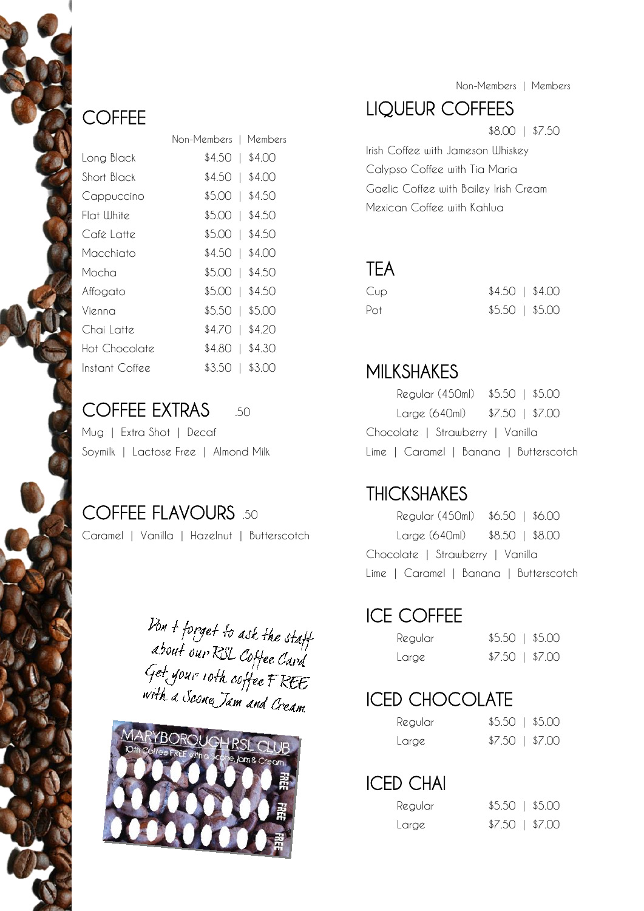### **COFFEE**

|                | Non-Members I    | Members    |
|----------------|------------------|------------|
| Long Black     | \$4.50 1 \$4.00  |            |
| Short Black    | \$4.50 1 \$4.00  |            |
| Cappuccino     | $$5.00$   \$4.50 |            |
| Flat White     | $$5.00$   \$4.50 |            |
| Café Latte     | \$5.00   \$4.50  |            |
| Macchiato      | \$4.50   \$4.00  |            |
| Mocha          | \$5.00           | $1$ \$4.50 |
| Affogato       | \$5.00           | $1$ \$4.50 |
| Vienna         | \$5.50           | \$5.00     |
| Chai Latte     | \$4.70           | $1$ \$4.20 |
| Hot Chocolate  | \$4.80           | \$4.30     |
| Instant Coffee | \$3.50           | \$3.00     |
|                |                  |            |

#### COFFEE EXTRAS 50

| Mug   Extra Shot   Decaf             |  |
|--------------------------------------|--|
| Soymilk   Lactose Free   Almond Milk |  |

### COFFEE FLAVOURS .50

Caramel | Vanilla | Hazelnut | Butterscotch

Don + forget to ask the staff<br>about our RSL Coffee Card<br>Get your 10th coffee FREE<br>with a Scone Jam and Cream



Non-Members | Members

## LIQUEUR COFFEES

\$8.00 | \$7.50

Irish Coffee with Jameson Whiskey Calypso Coffee with Tia Maria Gaelic Coffee with Bailey Irish Cream Mexican Coffee with Kahlua

#### **TEA**

| Cup | $$4.50$   \$4.00 |  |
|-----|------------------|--|
| Pot | $$5.50$   \$5.00 |  |

#### MILKSHAKES

Regular (450ml) \$5.50 | \$5.00 Large (640ml) \$7.50 | \$7.00 Chocolate | Strawberry | Vanilla Lime | Caramel | Banana | Butterscotch

#### THICKSHAKES

| Regular (450ml) \$6.50   \$6.00        |  |
|----------------------------------------|--|
| $Large (640ml)$ $$8.50$   \$8.00       |  |
| Chocolate   Strawberry   Vanilla       |  |
| Lime   Caramel   Banana   Butterscotch |  |

### ICE COFFEE

| Regular | $$5.50$   \$5.00 |  |
|---------|------------------|--|
| Large   | $$7.50$   \$7.00 |  |

## ICED CHOCOLATE

| Regular | $$5.50$   \$5.00 |  |
|---------|------------------|--|
| Large   | $$7.50$   \$7.00 |  |

## ICED CHAI

| Regular | $$5.50$   \$5.00 |  |
|---------|------------------|--|
| Large   | $$7.50$   \$7.00 |  |